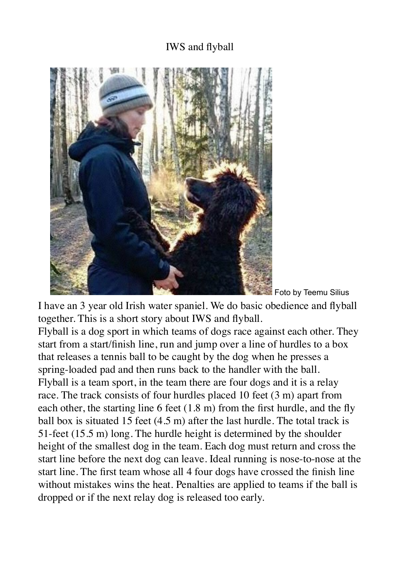## IWS and flyball



Foto by Teemu Silius

I have an 3 year old Irish water spaniel. We do basic obedience and flyball together. This is a short story about IWS and flyball.

Flyball is a dog sport in which teams of dogs race against each other. They start from a start/finish line, run and jump over a line of hurdles to a box that releases a tennis ball to be caught by the dog when he presses a spring-loaded pad and then runs back to the handler with the ball. Flyball is a team sport, in the team there are four dogs and it is a relay race. The track consists of four hurdles placed 10 feet (3 m) apart from each other, the starting line 6 feet (1.8 m) from the first hurdle, and the fly ball box is situated 15 feet (4.5 m) after the last hurdle. The total track is 51-feet (15.5 m) long. The hurdle height is determined by the shoulder height of the smallest dog in the team. Each dog must return and cross the start line before the next dog can leave. Ideal running is nose-to-nose at the start line. The first team whose all 4 four dogs have crossed the finish line without mistakes wins the heat. Penalties are applied to teams if the ball is dropped or if the next relay dog is released too early.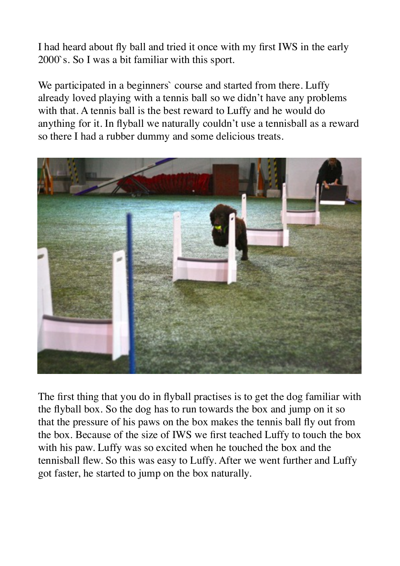I had heard about fly ball and tried it once with my first IWS in the early 2000`s. So I was a bit familiar with this sport.

We participated in a beginners' course and started from there. Luffy already loved playing with a tennis ball so we didn't have any problems with that. A tennis ball is the best reward to Luffy and he would do anything for it. In flyball we naturally couldn't use a tennisball as a reward so there I had a rubber dummy and some delicious treats.



The first thing that you do in flyball practises is to get the dog familiar with the flyball box. So the dog has to run towards the box and jump on it so that the pressure of his paws on the box makes the tennis ball fly out from the box. Because of the size of IWS we first teached Luffy to touch the box with his paw. Luffy was so excited when he touched the box and the tennisball flew. So this was easy to Luffy. After we went further and Luffy got faster, he started to jump on the box naturally.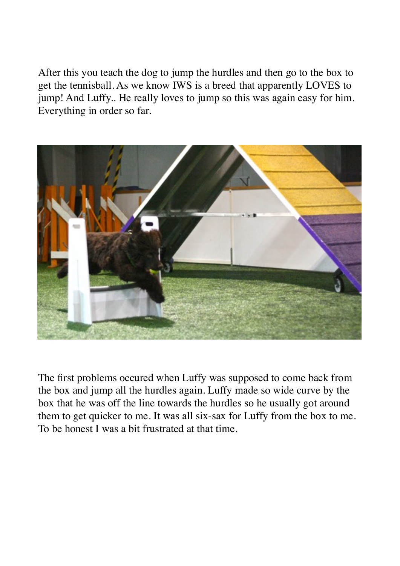After this you teach the dog to jump the hurdles and then go to the box to get the tennisball. As we know IWS is a breed that apparently LOVES to jump! And Luffy.. He really loves to jump so this was again easy for him. Everything in order so far.



The first problems occured when Luffy was supposed to come back from the box and jump all the hurdles again. Luffy made so wide curve by the box that he was off the line towards the hurdles so he usually got around them to get quicker to me. It was all six-sax for Luffy from the box to me. To be honest I was a bit frustrated at that time.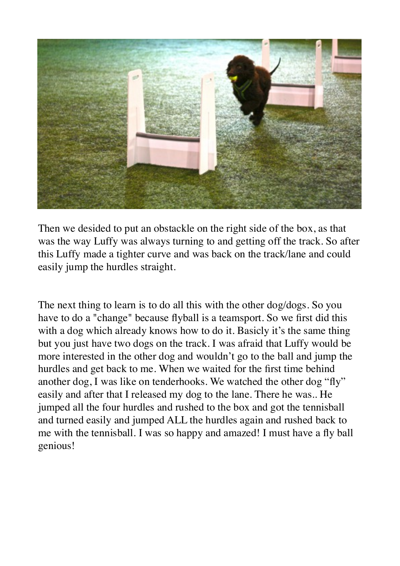

Then we desided to put an obstackle on the right side of the box, as that was the way Luffy was always turning to and getting off the track. So after this Luffy made a tighter curve and was back on the track/lane and could easily jump the hurdles straight.

The next thing to learn is to do all this with the other dog/dogs. So you have to do a "change" because flyball is a teamsport. So we first did this with a dog which already knows how to do it. Basicly it's the same thing but you just have two dogs on the track. I was afraid that Luffy would be more interested in the other dog and wouldn't go to the ball and jump the hurdles and get back to me. When we waited for the first time behind another dog, I was like on tenderhooks. We watched the other dog "fly" easily and after that I released my dog to the lane. There he was.. He jumped all the four hurdles and rushed to the box and got the tennisball and turned easily and jumped ALL the hurdles again and rushed back to me with the tennisball. I was so happy and amazed! I must have a fly ball genious!